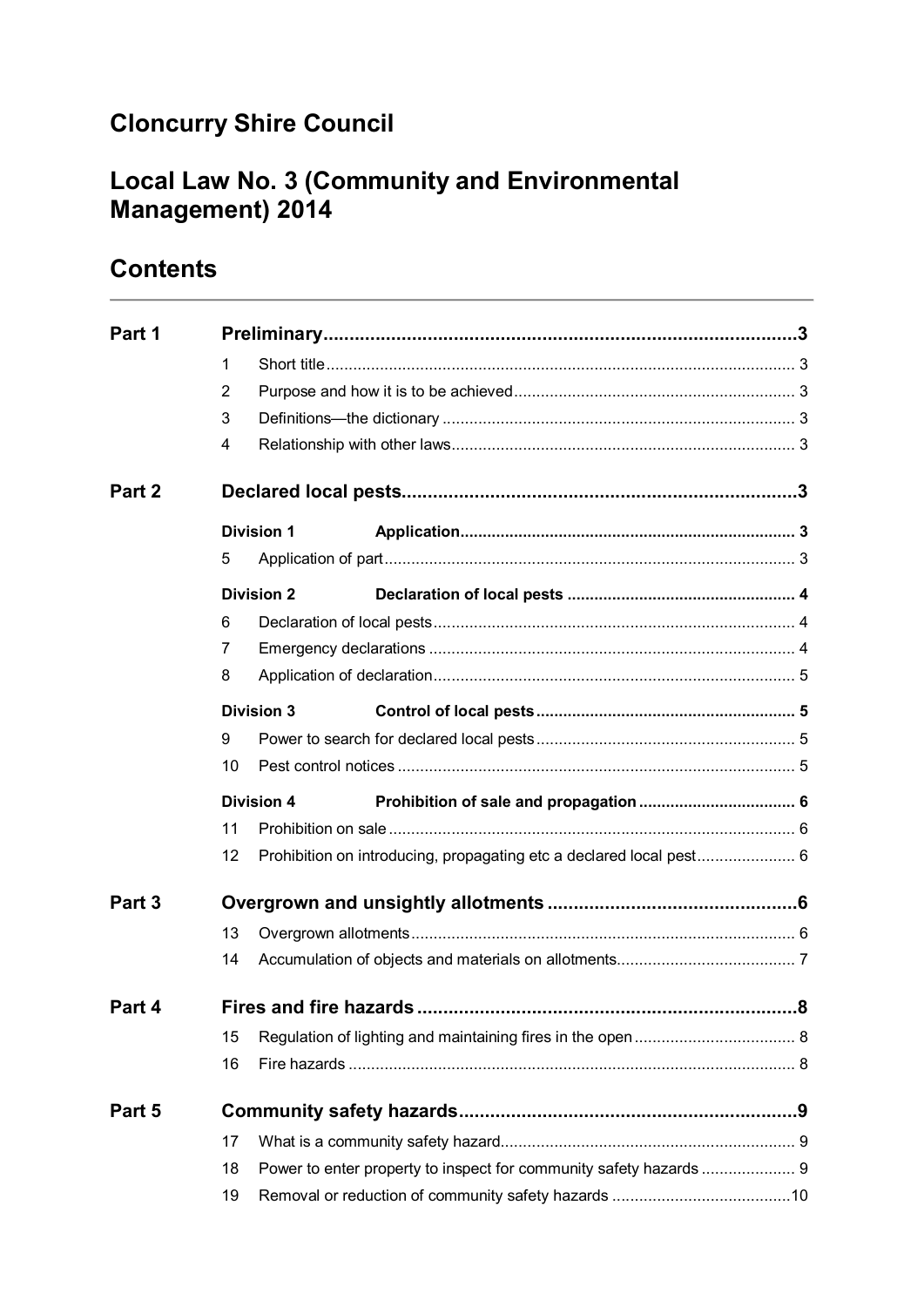# **Cloncurry Shire Council**

# **Local Law No. 3 (Community and Environmental Management) 2014**

# **Contents**

| Part 1 |                             |                   |  |  |  |
|--------|-----------------------------|-------------------|--|--|--|
|        | 1                           |                   |  |  |  |
|        | 2                           |                   |  |  |  |
|        | 3                           |                   |  |  |  |
|        | 4                           |                   |  |  |  |
| Part 2 |                             |                   |  |  |  |
|        |                             | <b>Division 1</b> |  |  |  |
|        | 5                           |                   |  |  |  |
|        |                             | <b>Division 2</b> |  |  |  |
|        | 6                           |                   |  |  |  |
|        | 7                           |                   |  |  |  |
|        | 8                           |                   |  |  |  |
|        |                             | <b>Division 3</b> |  |  |  |
|        | 9                           |                   |  |  |  |
|        | 10                          |                   |  |  |  |
|        |                             | <b>Division 4</b> |  |  |  |
|        | 11                          |                   |  |  |  |
|        | 12                          |                   |  |  |  |
| Part 3 |                             |                   |  |  |  |
|        | 13                          |                   |  |  |  |
|        | 14                          |                   |  |  |  |
| Part 4 | Fires and fire hazards<br>8 |                   |  |  |  |
|        | 15                          |                   |  |  |  |
|        | 16                          |                   |  |  |  |
| Part 5 |                             |                   |  |  |  |
|        | 17                          |                   |  |  |  |
|        | 18                          |                   |  |  |  |
|        | 19                          |                   |  |  |  |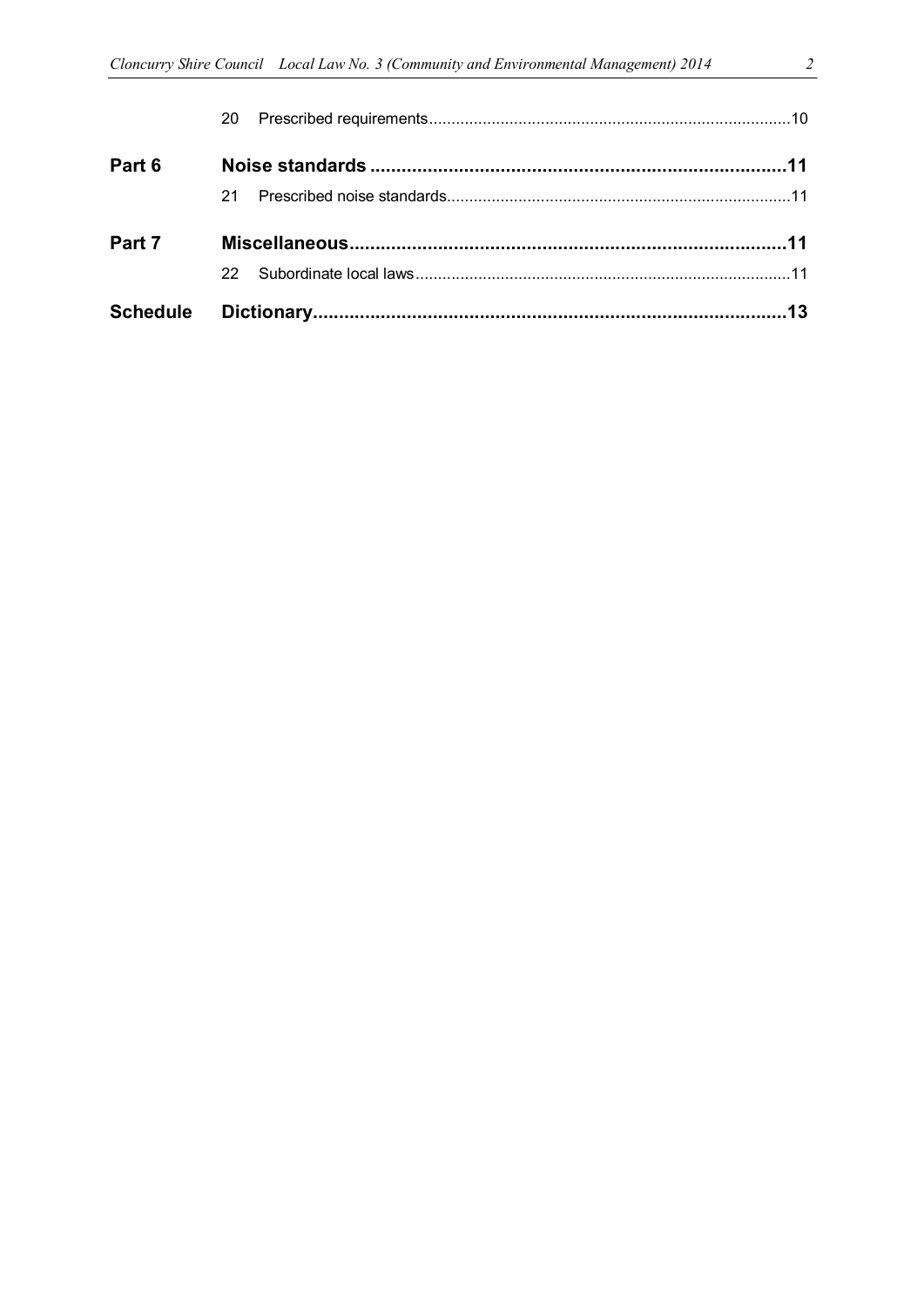|        | 22. |  |
|--------|-----|--|
| Part 7 |     |  |
|        | 21  |  |
| Part 6 |     |  |
|        |     |  |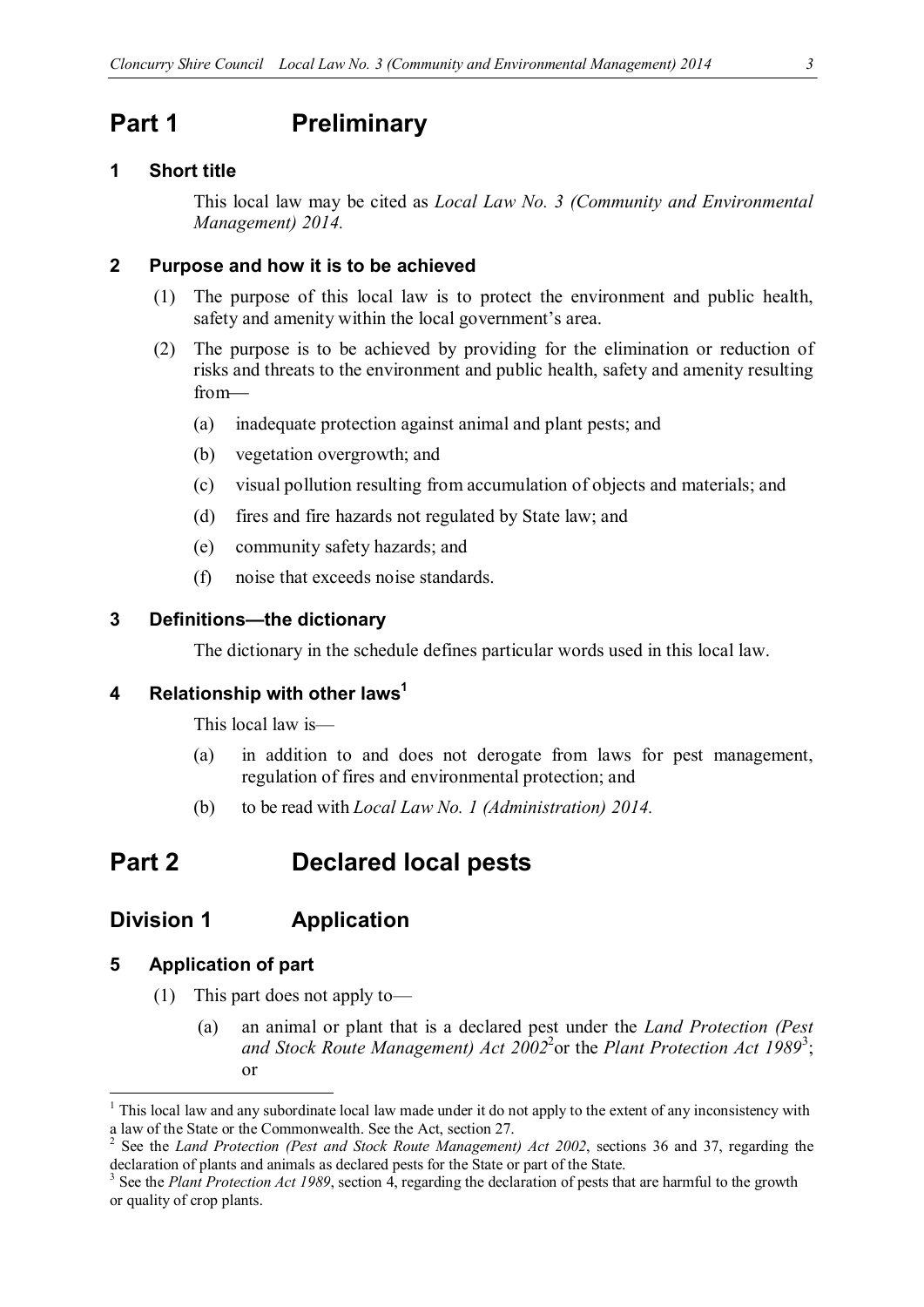### **Part 1 Preliminary**

#### **1 Short title**

This local law may be cited as *Local Law No. 3 (Community and Environmental Management) 2014.*

#### **2 Purpose and how it is to be achieved**

- (1) The purpose of this local law is to protect the environment and public health, safety and amenity within the local government's area.
- (2) The purpose is to be achieved by providing for the elimination or reduction of risks and threats to the environment and public health, safety and amenity resulting from
	- (a) inadequate protection against animal and plant pests; and
	- (b) vegetation overgrowth; and
	- (c) visual pollution resulting from accumulation of objects and materials; and
	- (d) fires and fire hazards not regulated by State law; and
	- (e) community safety hazards; and
	- (f) noise that exceeds noise standards.

#### **3 Definitions—the dictionary**

The dictionary in the schedule defines particular words used in this local law.

#### **4 Relationship with other laws1**

This local law is—

- (a) in addition to and does not derogate from laws for pest management, regulation of fires and environmental protection; and
- (b) to be read with *Local Law No. 1 (Administration) 2014.*

# **Part 2 Declared local pests**

#### **Division 1 Application**

#### **5 Application of part**

- (1) This part does not apply to—
	- (a) an animal or plant that is a declared pest under the *Land Protection (Pest*  and Stock Route Management) Act 2002<sup>2</sup> or the Plant Protection Act 1989<sup>3</sup>; or

 $1$  This local law and any subordinate local law made under it do not apply to the extent of any inconsistency with a law of the State or the Commonwealth. See the Act, section 27.

See the *Land Protection (Pest and Stock Route Management) Act 2002*, sections 36 and 37, regarding the declaration of plants and animals as declared pests for the State or part of the State.

<sup>3</sup> See the *Plant Protection Act 1989*, section 4, regarding the declaration of pests that are harmful to the growth or quality of crop plants.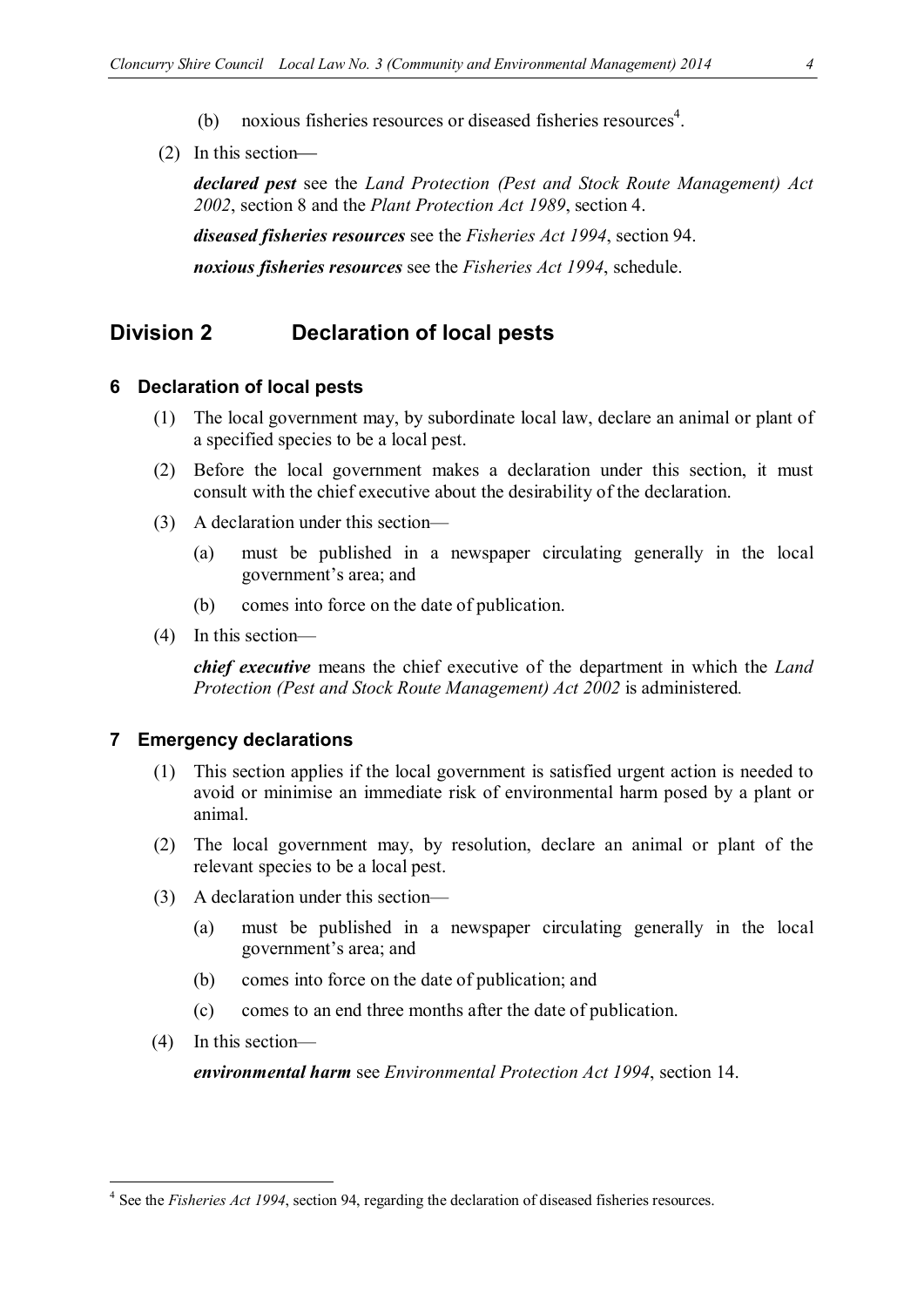- 
- (b) noxious fisheries resources or diseased fisheries resources<sup>4</sup>.
- (2) In this section

*declared pest* see the *Land Protection (Pest and Stock Route Management) Act 2002*, section 8 and the *Plant Protection Act 1989*, section 4. *diseased fisheries resources* see the *Fisheries Act 1994*, section 94. *noxious fisheries resources* see the *Fisheries Act 1994*, schedule.

### **Division 2 Declaration of local pests**

#### **6 Declaration of local pests**

- (1) The local government may, by subordinate local law, declare an animal or plant of a specified species to be a local pest.
- (2) Before the local government makes a declaration under this section, it must consult with the chief executive about the desirability of the declaration.
- (3) A declaration under this section—
	- (a) must be published in a newspaper circulating generally in the local government's area; and
	- (b) comes into force on the date of publication.
- (4) In this section—

*chief executive* means the chief executive of the department in which the *Land Protection (Pest and Stock Route Management) Act 2002* is administered*.*

#### **7 Emergency declarations**

- (1) This section applies if the local government is satisfied urgent action is needed to avoid or minimise an immediate risk of environmental harm posed by a plant or animal.
- (2) The local government may, by resolution, declare an animal or plant of the relevant species to be a local pest.
- (3) A declaration under this section—
	- (a) must be published in a newspaper circulating generally in the local government's area; and
	- (b) comes into force on the date of publication; and
	- (c) comes to an end three months after the date of publication.
- (4) In this section—

*environmental harm* see *Environmental Protection Act 1994*, section 14.

 <sup>4</sup> See the *Fisheries Act 1994*, section 94, regarding the declaration of diseased fisheries resources.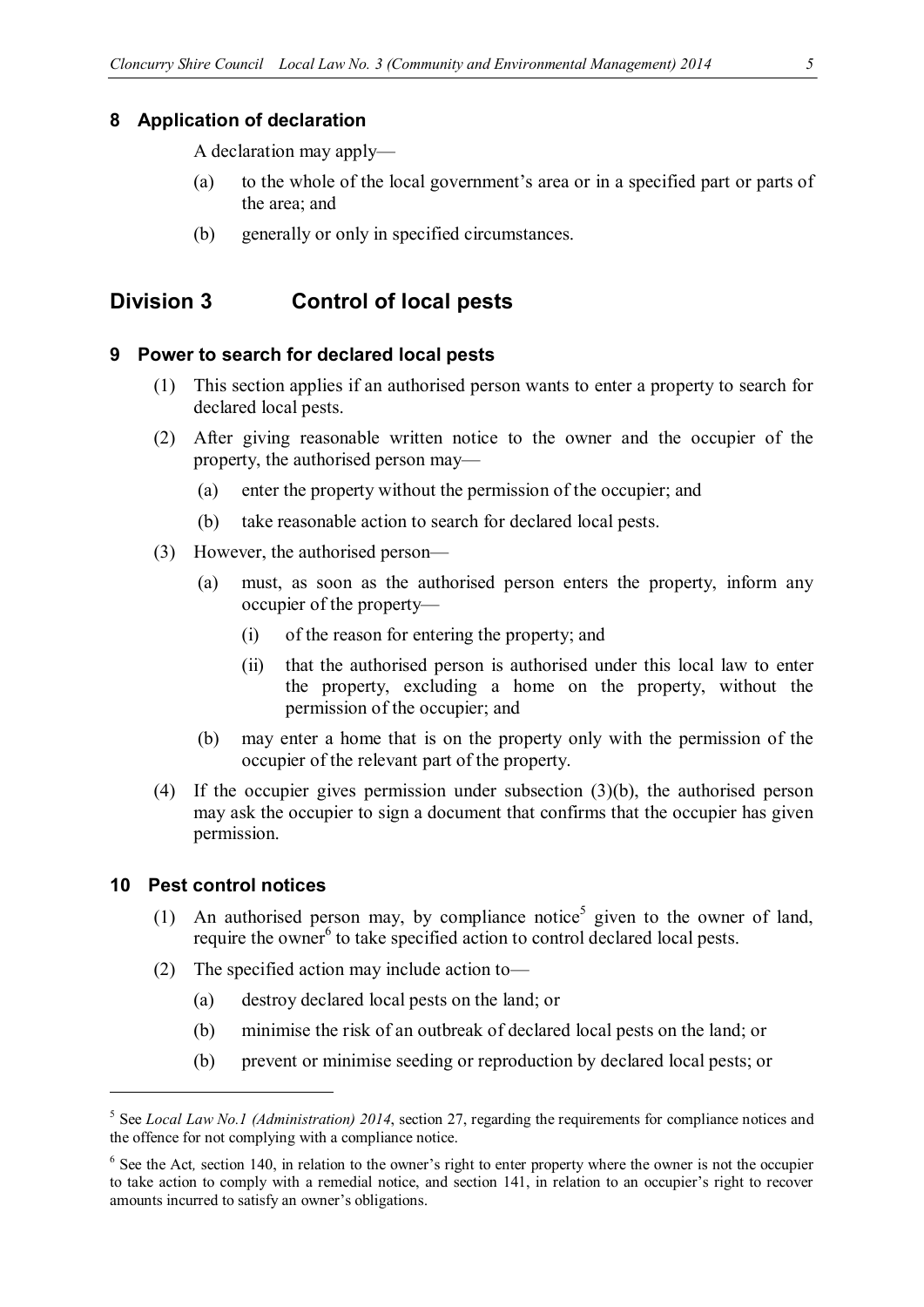#### **8 Application of declaration**

A declaration may apply—

- (a) to the whole of the local government's area or in a specified part or parts of the area; and
- (b) generally or only in specified circumstances.

### **Division 3 Control of local pests**

#### **9 Power to search for declared local pests**

- (1) This section applies if an authorised person wants to enter a property to search for declared local pests.
- (2) After giving reasonable written notice to the owner and the occupier of the property, the authorised person may—
	- (a) enter the property without the permission of the occupier; and
	- (b) take reasonable action to search for declared local pests.
- (3) However, the authorised person—
	- (a) must, as soon as the authorised person enters the property, inform any occupier of the property—
		- (i) of the reason for entering the property; and
		- (ii) that the authorised person is authorised under this local law to enter the property, excluding a home on the property, without the permission of the occupier; and
	- (b) may enter a home that is on the property only with the permission of the occupier of the relevant part of the property.
- (4) If the occupier gives permission under subsection (3)(b), the authorised person may ask the occupier to sign a document that confirms that the occupier has given permission.

#### **10 Pest control notices**

- (1) An authorised person may, by compliance notice<sup>5</sup> given to the owner of land, require the owner<sup>6</sup> to take specified action to control declared local pests.
- (2) The specified action may include action to—
	- (a) destroy declared local pests on the land; or
	- (b) minimise the risk of an outbreak of declared local pests on the land; or
	- (b) prevent or minimise seeding or reproduction by declared local pests; or

<sup>5</sup> See *Local Law No.1 (Administration) 2014*, section 27, regarding the requirements for compliance notices and the offence for not complying with a compliance notice.

<sup>&</sup>lt;sup>6</sup> See the Act, section 140, in relation to the owner's right to enter property where the owner is not the occupier to take action to comply with a remedial notice, and section 141, in relation to an occupier's right to recover amounts incurred to satisfy an owner's obligations.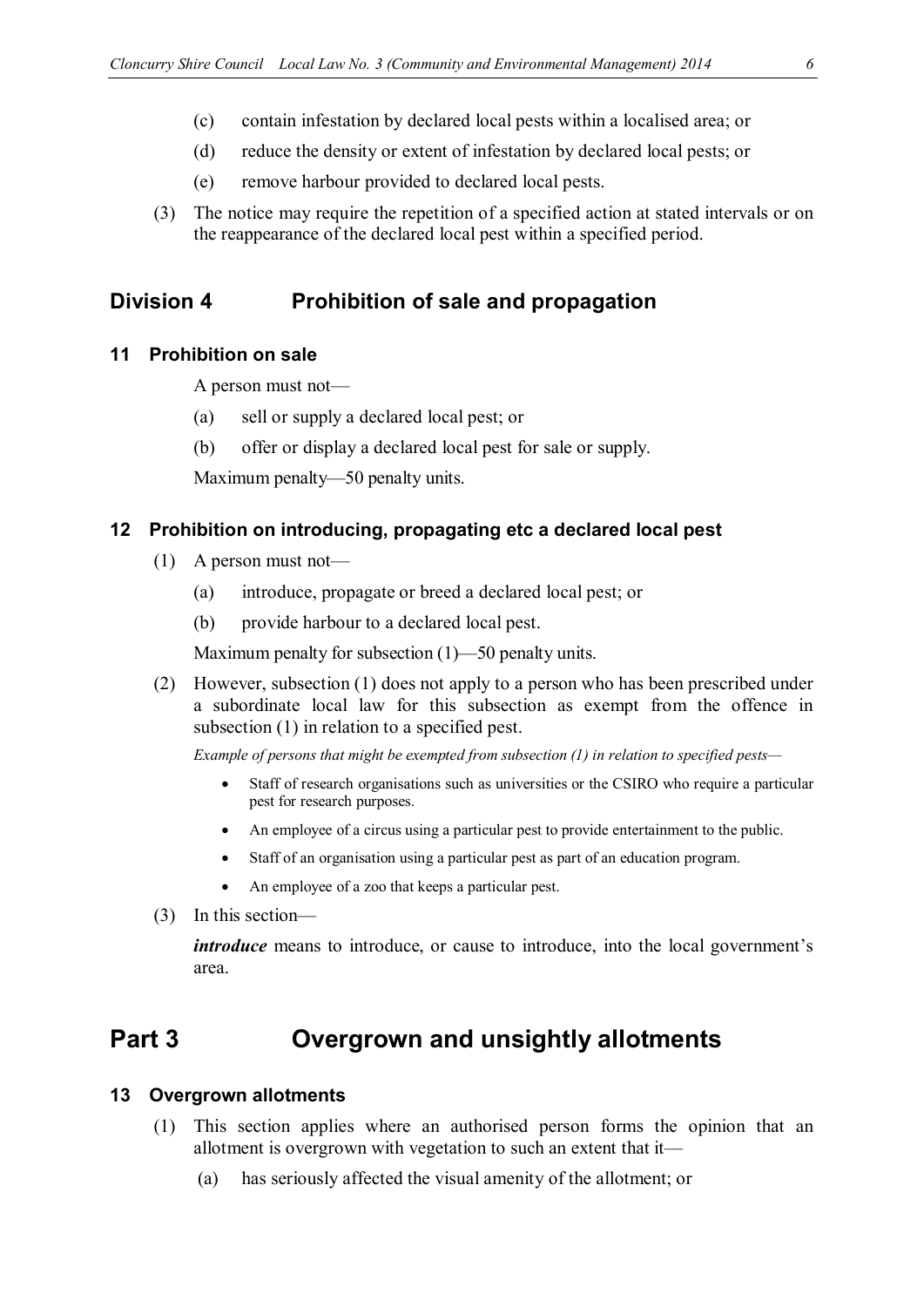- 
- (c) contain infestation by declared local pests within a localised area; or
- (d) reduce the density or extent of infestation by declared local pests; or
- (e) remove harbour provided to declared local pests.
- (3) The notice may require the repetition of a specified action at stated intervals or on the reappearance of the declared local pest within a specified period.

### **Division 4 Prohibition of sale and propagation**

#### **11 Prohibition on sale**

A person must not—

- (a) sell or supply a declared local pest; or
- (b) offer or display a declared local pest for sale or supply.

Maximum penalty—50 penalty units.

#### **12 Prohibition on introducing, propagating etc a declared local pest**

- (1) A person must not—
	- (a) introduce, propagate or breed a declared local pest; or
	- (b) provide harbour to a declared local pest.

Maximum penalty for subsection (1)—50 penalty units.

(2) However, subsection (1) does not apply to a person who has been prescribed under a subordinate local law for this subsection as exempt from the offence in subsection (1) in relation to a specified pest.

*Example of persons that might be exempted from subsection (1) in relation to specified pests—*

- Staff of research organisations such as universities or the CSIRO who require a particular pest for research purposes.
- An employee of a circus using a particular pest to provide entertainment to the public.
- Staff of an organisation using a particular pest as part of an education program.
- An employee of a zoo that keeps a particular pest.
- (3) In this section—

*introduce* means to introduce, or cause to introduce, into the local government's area.

# **Part 3 Overgrown and unsightly allotments**

#### **13 Overgrown allotments**

- (1) This section applies where an authorised person forms the opinion that an allotment is overgrown with vegetation to such an extent that it—
	- (a) has seriously affected the visual amenity of the allotment; or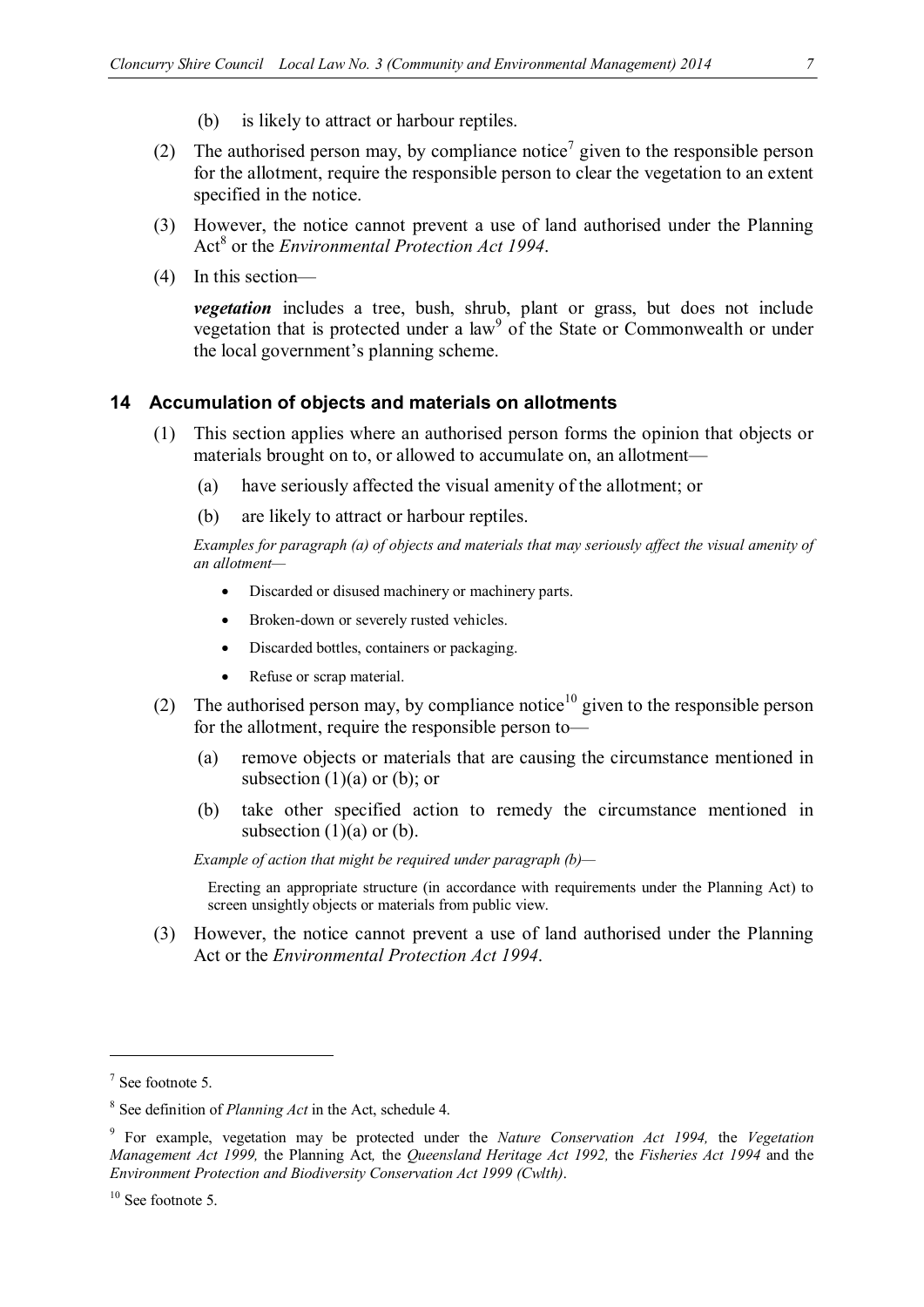- (b) is likely to attract or harbour reptiles.
- (2) The authorised person may, by compliance notice<sup>7</sup> given to the responsible person for the allotment, require the responsible person to clear the vegetation to an extent specified in the notice.
- (3) However, the notice cannot prevent a use of land authorised under the Planning Act<sup>8</sup> or the *Environmental Protection Act 1994*.
- (4) In this section—

*vegetation* includes a tree, bush, shrub, plant or grass, but does not include vegetation that is protected under a  $law<sup>9</sup>$  of the State or Commonwealth or under the local government's planning scheme.

#### **14 Accumulation of objects and materials on allotments**

- (1) This section applies where an authorised person forms the opinion that objects or materials brought on to, or allowed to accumulate on, an allotment—
	- (a) have seriously affected the visual amenity of the allotment; or
	- (b) are likely to attract or harbour reptiles.

*Examples for paragraph (a) of objects and materials that may seriously affect the visual amenity of an allotment—*

- Discarded or disused machinery or machinery parts.
- Broken-down or severely rusted vehicles.
- Discarded bottles, containers or packaging.
- Refuse or scrap material.
- (2) The authorised person may, by compliance notice<sup>10</sup> given to the responsible person for the allotment, require the responsible person to—
	- (a) remove objects or materials that are causing the circumstance mentioned in subsection  $(1)(a)$  or  $(b)$ ; or
	- (b) take other specified action to remedy the circumstance mentioned in subsection  $(1)(a)$  or  $(b)$ .

*Example of action that might be required under paragraph (b)—*

Erecting an appropriate structure (in accordance with requirements under the Planning Act) to screen unsightly objects or materials from public view.

(3) However, the notice cannot prevent a use of land authorised under the Planning Act or the *Environmental Protection Act 1994*.

 $<sup>7</sup>$  See footnote 5.</sup>

<sup>8</sup> See definition of *Planning Act* in the Act, schedule 4.

<sup>9</sup> For example, vegetation may be protected under the *Nature Conservation Act 1994,* the *Vegetation Management Act 1999,* the Planning Act*,* the *Queensland Heritage Act 1992,* the *Fisheries Act 1994* and the *Environment Protection and Biodiversity Conservation Act 1999 (Cwlth)*.

<sup>&</sup>lt;sup>10</sup> See footnote 5.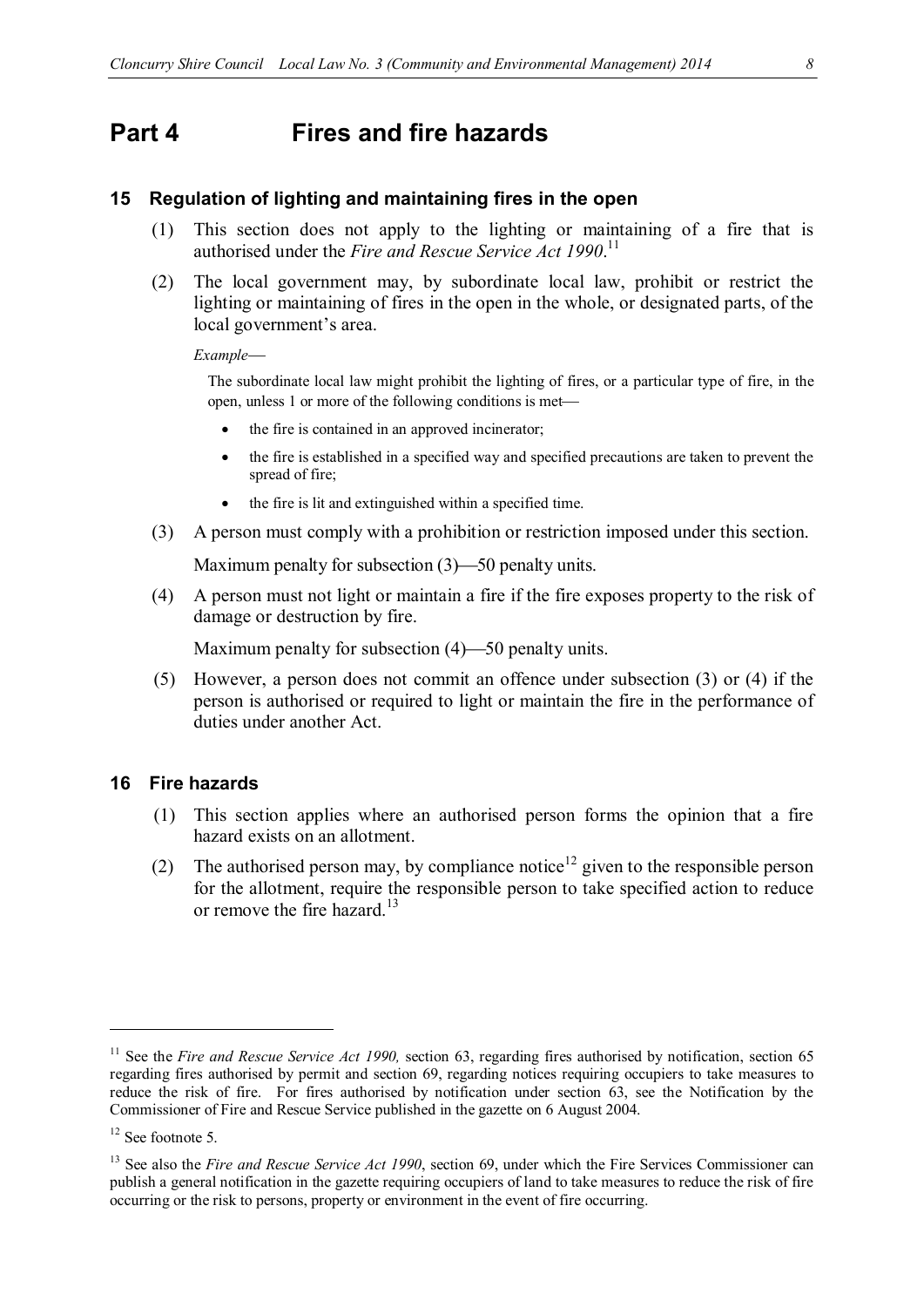# **Part 4 Fires and fire hazards**

#### **15 Regulation of lighting and maintaining fires in the open**

- (1) This section does not apply to the lighting or maintaining of a fire that is authorised under the *Fire and Rescue Service Act 1990*.<sup>11</sup>
- (2) The local government may, by subordinate local law, prohibit or restrict the lighting or maintaining of fires in the open in the whole, or designated parts, of the local government's area.

*Example*

The subordinate local law might prohibit the lighting of fires, or a particular type of fire, in the open, unless 1 or more of the following conditions is met

- the fire is contained in an approved incinerator;
- the fire is established in a specified way and specified precautions are taken to prevent the spread of fire;
- the fire is lit and extinguished within a specified time.
- (3) A person must comply with a prohibition or restriction imposed under this section.

Maximum penalty for subsection  $(3)$ —50 penalty units.

(4) A person must not light or maintain a fire if the fire exposes property to the risk of damage or destruction by fire.

Maximum penalty for subsection  $(4)$ —50 penalty units.

(5) However, a person does not commit an offence under subsection (3) or (4) if the person is authorised or required to light or maintain the fire in the performance of duties under another Act.

#### **16 Fire hazards**

- (1) This section applies where an authorised person forms the opinion that a fire hazard exists on an allotment.
- (2) The authorised person may, by compliance notice<sup>12</sup> given to the responsible person for the allotment, require the responsible person to take specified action to reduce or remove the fire hazard.<sup>13</sup>

<sup>&</sup>lt;sup>11</sup> See the *Fire and Rescue Service Act 1990*, section 63, regarding fires authorised by notification, section 65 regarding fires authorised by permit and section 69, regarding notices requiring occupiers to take measures to reduce the risk of fire. For fires authorised by notification under section 63, see the Notification by the Commissioner of Fire and Rescue Service published in the gazette on 6 August 2004.

<sup>&</sup>lt;sup>12</sup> See footnote 5.

<sup>&</sup>lt;sup>13</sup> See also the *Fire and Rescue Service Act 1990*, section 69, under which the Fire Services Commissioner can publish a general notification in the gazette requiring occupiers of land to take measures to reduce the risk of fire occurring or the risk to persons, property or environment in the event of fire occurring.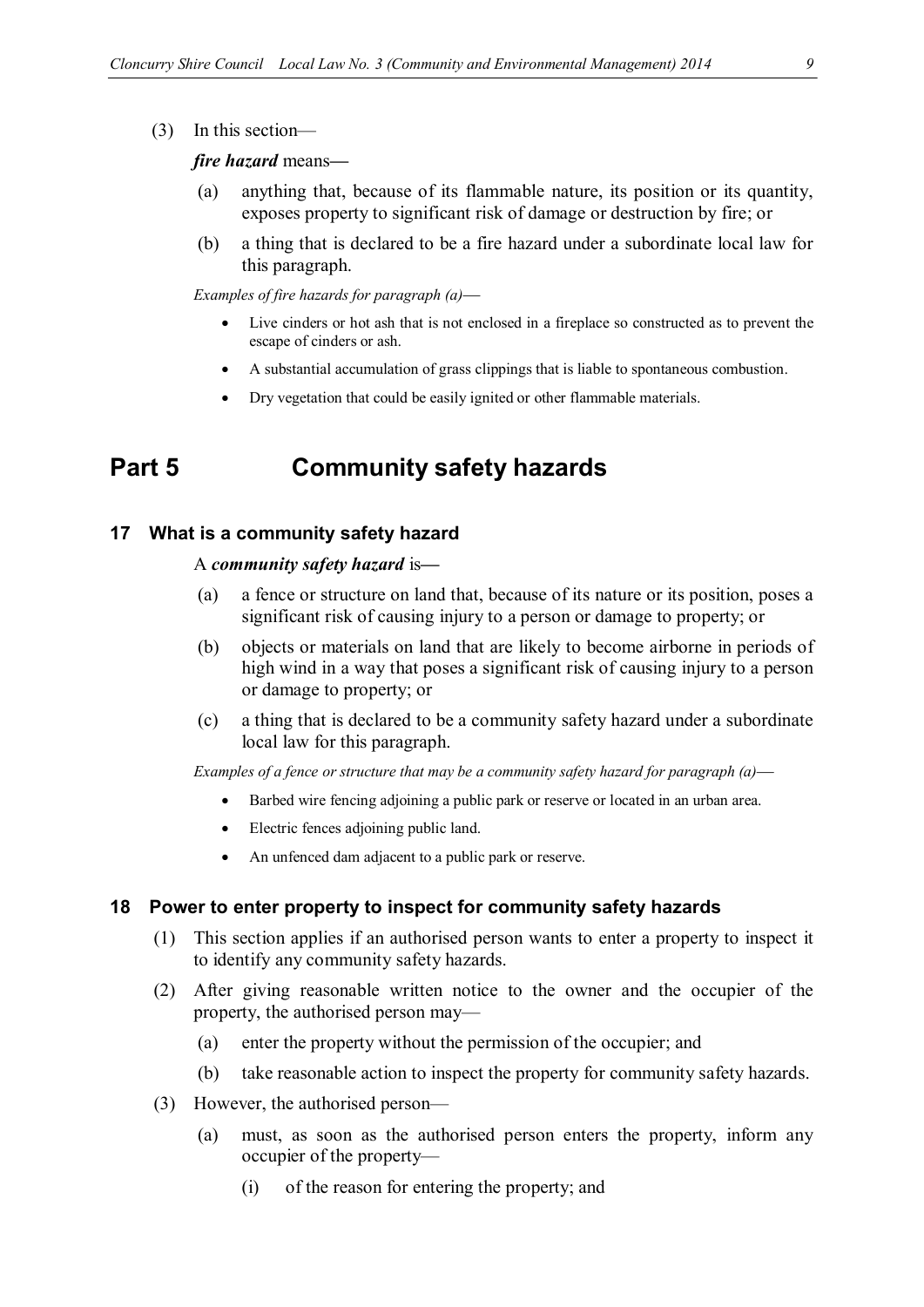(3) In this section—

#### *fire hazard* means*—*

- (a) anything that, because of its flammable nature, its position or its quantity, exposes property to significant risk of damage or destruction by fire; or
- (b) a thing that is declared to be a fire hazard under a subordinate local law for this paragraph.

*Examples of fire hazards for paragraph (a)*

- Live cinders or hot ash that is not enclosed in a fireplace so constructed as to prevent the escape of cinders or ash.
- A substantial accumulation of grass clippings that is liable to spontaneous combustion.
- Dry vegetation that could be easily ignited or other flammable materials.

# **Part 5 Community safety hazards**

#### **17 What is a community safety hazard**

#### A *community safety hazard* is*—*

- (a) a fence or structure on land that, because of its nature or its position, poses a significant risk of causing injury to a person or damage to property; or
- (b) objects or materials on land that are likely to become airborne in periods of high wind in a way that poses a significant risk of causing injury to a person or damage to property; or
- (c) a thing that is declared to be a community safety hazard under a subordinate local law for this paragraph.

*Examples of a fence or structure that may be a community safety hazard for paragraph (a)*

- Barbed wire fencing adjoining a public park or reserve or located in an urban area.
- Electric fences adjoining public land.
- An unfenced dam adjacent to a public park or reserve.

#### **18 Power to enter property to inspect for community safety hazards**

- (1) This section applies if an authorised person wants to enter a property to inspect it to identify any community safety hazards.
- (2) After giving reasonable written notice to the owner and the occupier of the property, the authorised person may—
	- (a) enter the property without the permission of the occupier; and
	- (b) take reasonable action to inspect the property for community safety hazards.
- (3) However, the authorised person—
	- (a) must, as soon as the authorised person enters the property, inform any occupier of the property—
		- (i) of the reason for entering the property; and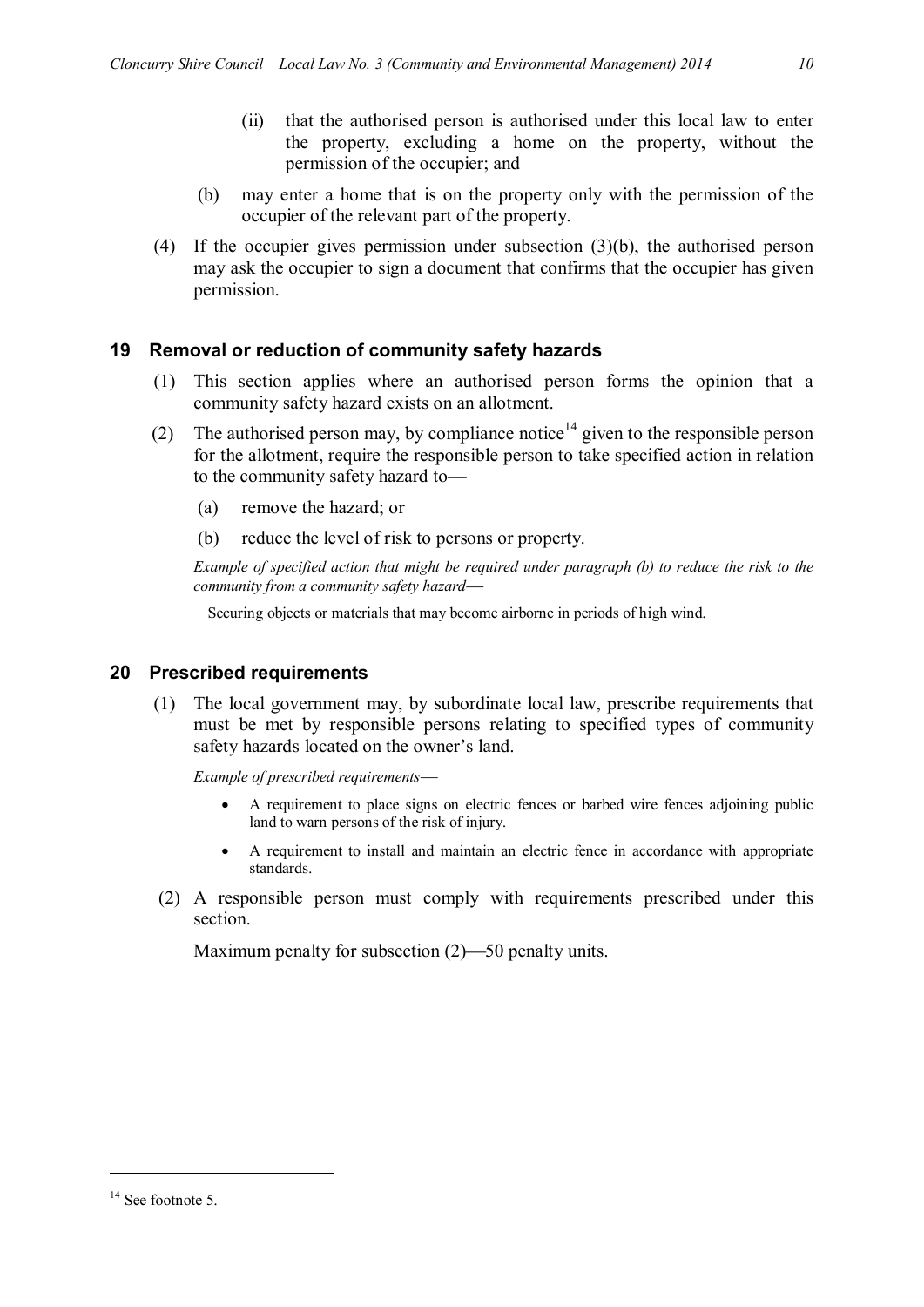- (ii) that the authorised person is authorised under this local law to enter the property, excluding a home on the property, without the permission of the occupier; and
- (b) may enter a home that is on the property only with the permission of the occupier of the relevant part of the property.
- (4) If the occupier gives permission under subsection (3)(b), the authorised person may ask the occupier to sign a document that confirms that the occupier has given permission.

#### **19 Removal or reduction of community safety hazards**

- (1) This section applies where an authorised person forms the opinion that a community safety hazard exists on an allotment.
- (2) The authorised person may, by compliance notice<sup>14</sup> given to the responsible person for the allotment, require the responsible person to take specified action in relation to the community safety hazard to*—*
	- (a) remove the hazard; or
	- (b) reduce the level of risk to persons or property.

*Example of specified action that might be required under paragraph (b) to reduce the risk to the community from a community safety hazard*

Securing objects or materials that may become airborne in periods of high wind.

#### **20 Prescribed requirements**

(1) The local government may, by subordinate local law, prescribe requirements that must be met by responsible persons relating to specified types of community safety hazards located on the owner's land.

*Example of prescribed requirements*

- A requirement to place signs on electric fences or barbed wire fences adjoining public land to warn persons of the risk of injury.
- A requirement to install and maintain an electric fence in accordance with appropriate standards.
- (2) A responsible person must comply with requirements prescribed under this section.

Maximum penalty for subsection  $(2)$ —50 penalty units.

<sup>&</sup>lt;sup>14</sup> See footnote 5.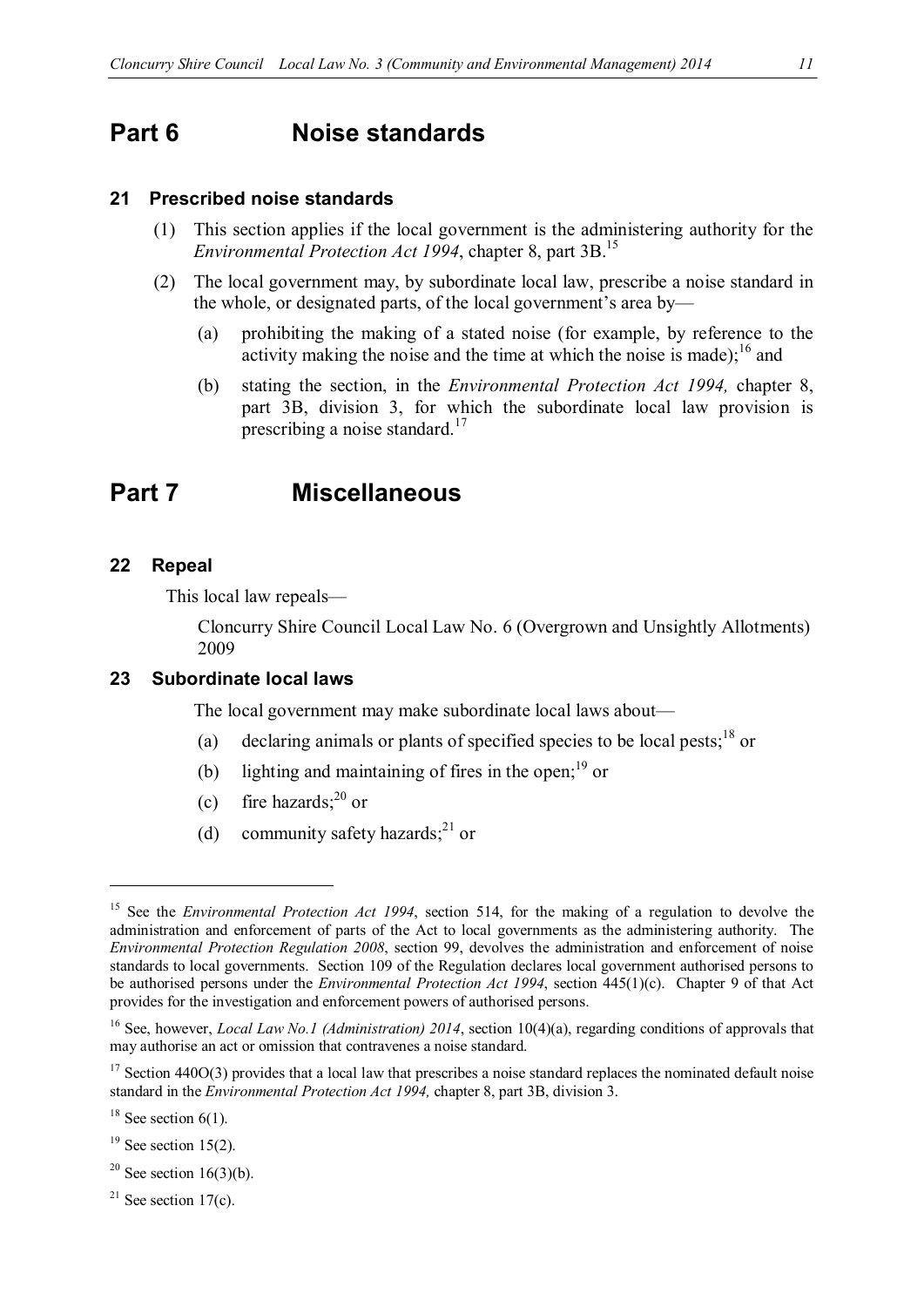## **Part 6 Noise standards**

#### **21 Prescribed noise standards**

- (1) This section applies if the local government is the administering authority for the *Environmental Protection Act 1994*, chapter 8, part 3B. 15
- (2) The local government may, by subordinate local law, prescribe a noise standard in the whole, or designated parts, of the local government's area by—
	- (a) prohibiting the making of a stated noise (for example, by reference to the activity making the noise and the time at which the noise is made);  $^{16}$  and
	- (b) stating the section, in the *Environmental Protection Act 1994,* chapter 8, part 3B, division 3, for which the subordinate local law provision is prescribing a noise standard.<sup>17</sup>

### **Part 7 Miscellaneous**

#### **22 Repeal**

This local law repeals—

Cloncurry Shire Council Local Law No. 6 (Overgrown and Unsightly Allotments) 2009

#### **23 Subordinate local laws**

The local government may make subordinate local laws about—

- (a) declaring animals or plants of specified species to be local pests;  $^{18}$  or
- (b) lighting and maintaining of fires in the open;<sup>19</sup> or
- (c) fire hazards; $^{20}$  or
- (d) community safety hazards; $^{21}$  or

- $19$  See section 15(2).
- $20$  See section 16(3)(b).
- $21$  See section 17(c).

<sup>&</sup>lt;sup>15</sup> See the *Environmental Protection Act 1994*, section 514, for the making of a regulation to devolve the administration and enforcement of parts of the Act to local governments as the administering authority. The *Environmental Protection Regulation 2008*, section 99, devolves the administration and enforcement of noise standards to local governments. Section 109 of the Regulation declares local government authorised persons to be authorised persons under the *Environmental Protection Act 1994*, section 445(1)(c). Chapter 9 of that Act provides for the investigation and enforcement powers of authorised persons.

<sup>16</sup> See, however, *Local Law No.1 (Administration) 2014*, section 10(4)(a), regarding conditions of approvals that may authorise an act or omission that contravenes a noise standard.

 $17$  Section 440O(3) provides that a local law that prescribes a noise standard replaces the nominated default noise standard in the *Environmental Protection Act 1994,* chapter 8, part 3B, division 3.

 $18$  See section 6(1).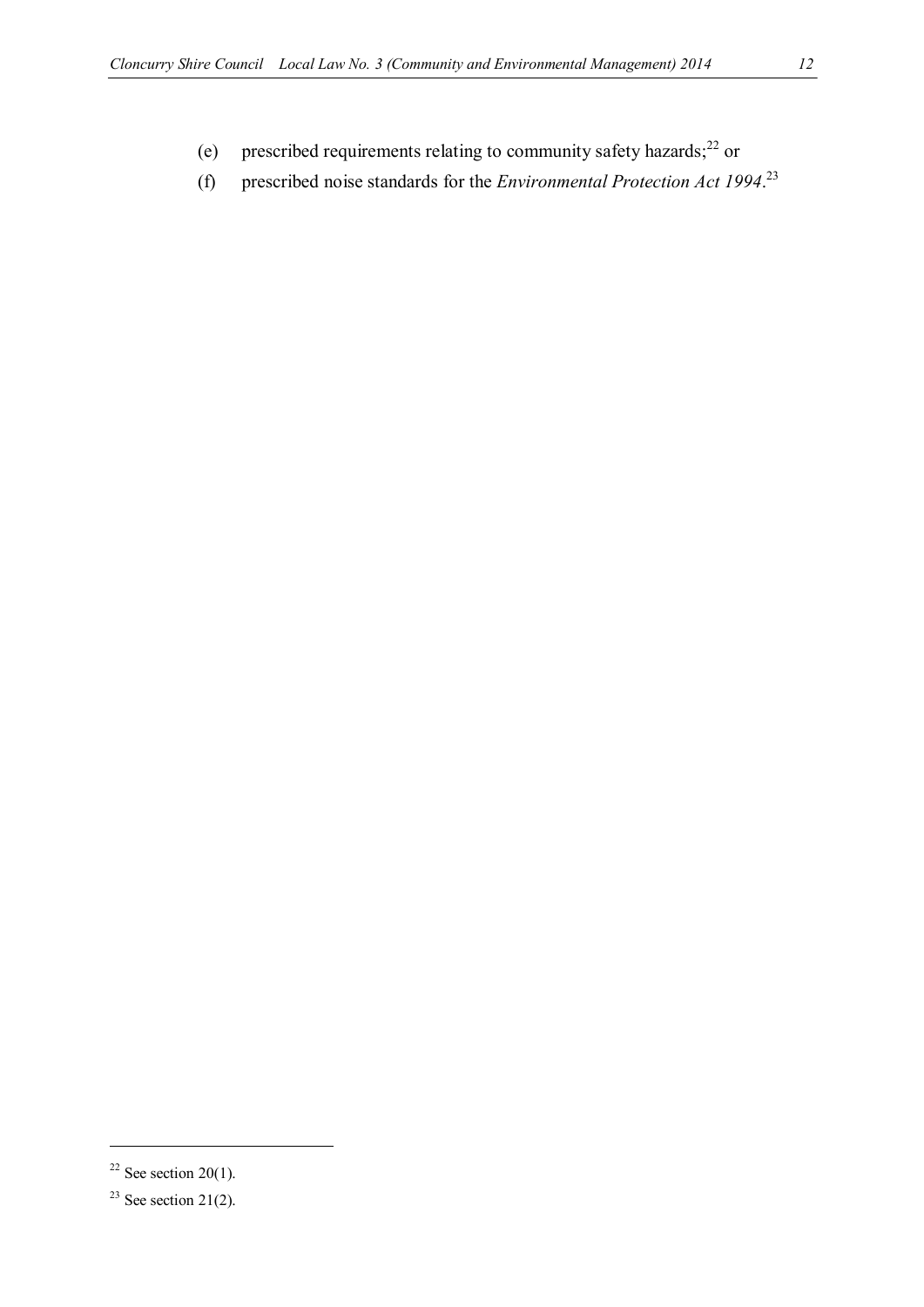- (e) prescribed requirements relating to community safety hazards; $^{22}$  or
- (f) prescribed noise standards for the *Environmental Protection Act 1994*. 23

<sup>&</sup>lt;sup>22</sup> See section 20(1).

<sup>&</sup>lt;sup>23</sup> See section 21(2).